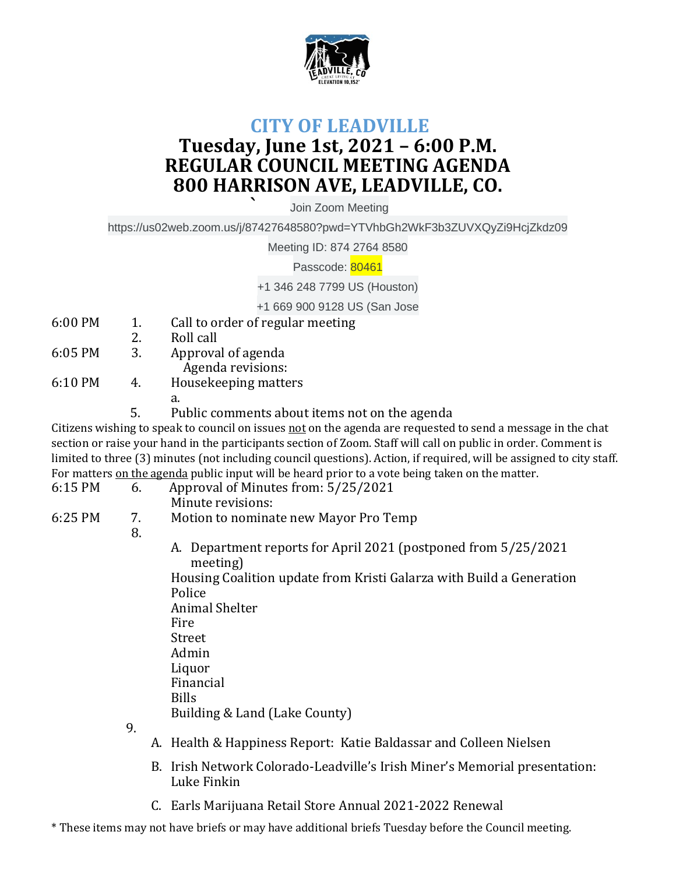

## **CITY OF LEADVILLE Tuesday, June 1st, 2021 – 6:00 P.M. REGULAR COUNCIL MEETING AGENDA 800 HARRISON AVE, LEADVILLE, CO.**

**`** Join Zoom Meeting

https://us02web.zoom.us/j/87427648580?pwd=YTVhbGh2WkF3b3ZUVXQyZi9HcjZkdz09

Meeting ID: 874 2764 8580

Passcode: 80461

+1 346 248 7799 US (Houston)

+1 669 900 9128 US (San Jose

- 6:00 PM 1. Call to order of regular meeting
- 2. Roll call
- 6:05 PM 3. Approval of agenda Agenda revisions:
- 6:10 PM 4. Housekeeping matters
	- a.
	- 5. Public comments about items not on the agenda

Citizens wishing to speak to council on issues not on the agenda are requested to send a message in the chat section or raise your hand in the participants section of Zoom. Staff will call on public in order. Comment is limited to three (3) minutes (not including council questions). Action, if required, will be assigned to city staff. For matters on the agenda public input will be heard prior to a vote being taken on the matter.

- 6:15 PM 6. Approval of Minutes from: 5/25/2021
	- Minute revisions:
- 6:25 PM 7. Motion to nominate new Mayor Pro Temp

## 8.

A. Department reports for April 2021 (postponed from 5/25/2021 meeting)

Housing Coalition update from Kristi Galarza with Build a Generation Police Animal Shelter Fire

- Street
- Admin
- Liquor
- Financial
- Bills
	- Building & Land (Lake County)
- 9.
- A. Health & Happiness Report: Katie Baldassar and Colleen Nielsen
- B. Irish Network Colorado-Leadville's Irish Miner's Memorial presentation: Luke Finkin
- C. Earls Marijuana Retail Store Annual 2021-2022 Renewal

\* These items may not have briefs or may have additional briefs Tuesday before the Council meeting.